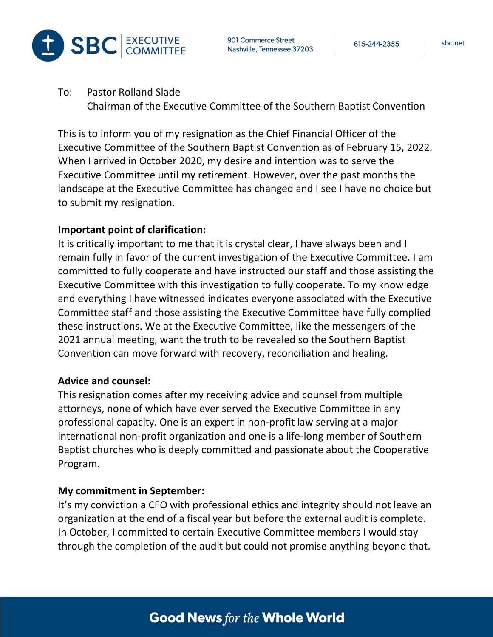

To: Pastor Rolland Slade Chairman of the Executive Committee of the Southern Baptist Convention

This is to inform you of my resignation as the Chief Financial Officer of the Executive Committee of the Southern Baptist Convention as of February 15, 2022. When I arrived in October 2020, my desire and intention was to serve the Executive Committee until my retirement. However, over the past months the landscape at the Executive Committee has changed and I see I have no choice but to submit my resignation.

## **Important point of clarification:**

It is critically important to me that it is crystal clear, I have always been and I remain fully in favor of the current investigation of the Executive Committee. I am committed to fully cooperate and have instructed our staff and those assisting the Executive Committee with this investigation to fully cooperate. To my knowledge and everything I have witnessed indicates everyone associated with the Executive Committee staff and those assisting the Executive Committee have fully complied these instructions. We at the Executive Committee, like the messengers of the 2021 annual meeting, want the truth to be revealed so the Southern Baptist Convention can move forward with recovery, reconciliation and healing.

## **Advice and counsel:**

This resignation comes after my receiving advice and counsel from multiple attorneys, none of which have ever served the Executive Committee in any professional capacity. One is an expert in non-profit law serving at a major international non-profit organization and one is a life-long member of Southern Baptist churches who is deeply committed and passionate about the Cooperative Program.

## **My commitment in September:**

It's my conviction a CFO with professional ethics and integrity should not leave an organization at the end of a fiscal year but before the external audit is complete. In October, I committed to certain Executive Committee members I would stay through the completion of the audit but could not promise anything beyond that.